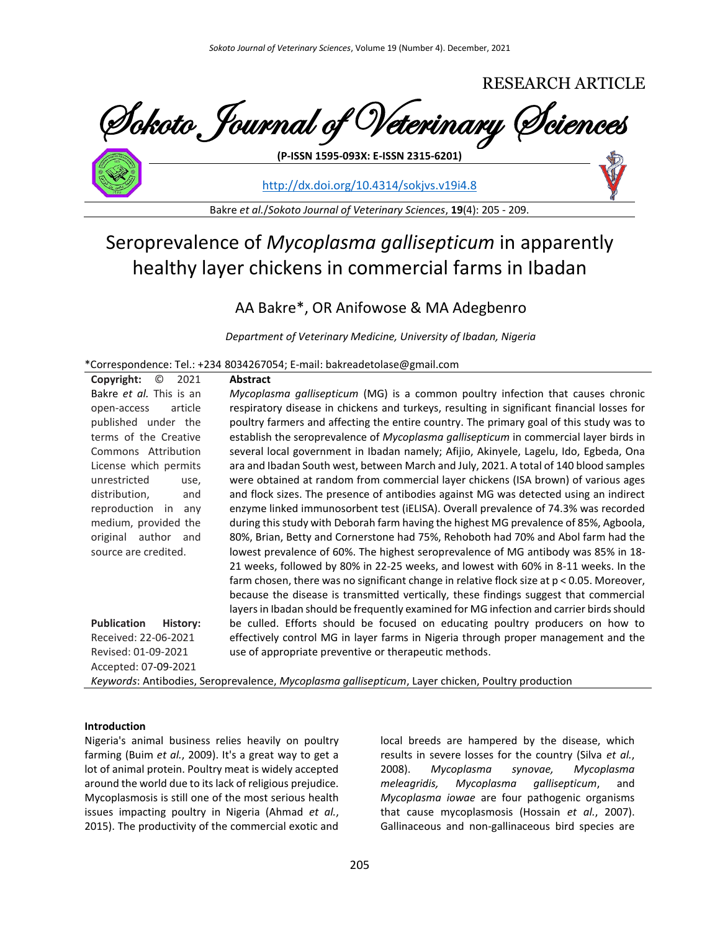

<http://dx.doi.org/10.4314/sokjvs.v19i4.8>

Bakre *et al.*/*Sokoto Journal of Veterinary Sciences*, **19**(4): 205 - 209.

# Seroprevalence of *Mycoplasma gallisepticum* in apparently healthy layer chickens in commercial farms in Ibadan

# AA Bakre\*, OR Anifowose & MA Adegbenro

*Department of Veterinary Medicine, University of Ibadan, Nigeria*

\*Correspondence: Tel.: +234 8034267054; E-mail: bakreadetolase@gmail.com

| Copyright:<br>O<br>2021        | <b>Abstract</b>                                                                                   |
|--------------------------------|---------------------------------------------------------------------------------------------------|
| Bakre et al. This is an        | Mycoplasma gallisepticum (MG) is a common poultry infection that causes chronic                   |
| article<br>open-access         | respiratory disease in chickens and turkeys, resulting in significant financial losses for        |
| published under the            | poultry farmers and affecting the entire country. The primary goal of this study was to           |
| terms of the Creative          | establish the seroprevalence of Mycoplasma gallisepticum in commercial layer birds in             |
| Commons Attribution            | several local government in Ibadan namely; Afijio, Akinyele, Lagelu, Ido, Egbeda, Ona             |
| License which permits          | ara and Ibadan South west, between March and July, 2021. A total of 140 blood samples             |
| unrestricted<br>use,           | were obtained at random from commercial layer chickens (ISA brown) of various ages                |
| distribution,<br>and           | and flock sizes. The presence of antibodies against MG was detected using an indirect             |
| reproduction in<br>any         | enzyme linked immunosorbent test (iELISA). Overall prevalence of 74.3% was recorded               |
| medium, provided the           | during this study with Deborah farm having the highest MG prevalence of 85%, Agboola,             |
| original author<br>and         | 80%, Brian, Betty and Cornerstone had 75%, Rehoboth had 70% and Abol farm had the                 |
| source are credited.           | lowest prevalence of 60%. The highest seroprevalence of MG antibody was 85% in 18-                |
|                                | 21 weeks, followed by 80% in 22-25 weeks, and lowest with 60% in 8-11 weeks. In the               |
|                                | farm chosen, there was no significant change in relative flock size at $p < 0.05$ . Moreover,     |
|                                | because the disease is transmitted vertically, these findings suggest that commercial             |
|                                | layers in Ibadan should be frequently examined for MG infection and carrier birds should          |
| <b>Publication</b><br>History: | be culled. Efforts should be focused on educating poultry producers on how to                     |
| Received: 22-06-2021           | effectively control MG in layer farms in Nigeria through proper management and the                |
| Revised: 01-09-2021            | use of appropriate preventive or therapeutic methods.                                             |
| Accepted: 07-09-2021           |                                                                                                   |
|                                | Keywords: Antibodies, Seroprevalence, Mycoplasma gallisepticum, Layer chicken, Poultry production |

## **Introduction**

Nigeria's animal business relies heavily on poultry farming (Buim *et al.*, 2009). It's a great way to get a lot of animal protein. Poultry meat is widely accepted around the world due to its lack of religious prejudice. Mycoplasmosis is still one of the most serious health issues impacting poultry in Nigeria (Ahmad *et al.*, 2015). The productivity of the commercial exotic and

local breeds are hampered by the disease, which results in severe losses for the country (Silva *et al.*, 2008). *Mycoplasma synovae, Mycoplasma meleagridis, Mycoplasma gallisepticum*, and *Mycoplasma iowae* are four pathogenic organisms that cause mycoplasmosis (Hossain *et al.*, 2007). Gallinaceous and non-gallinaceous bird species are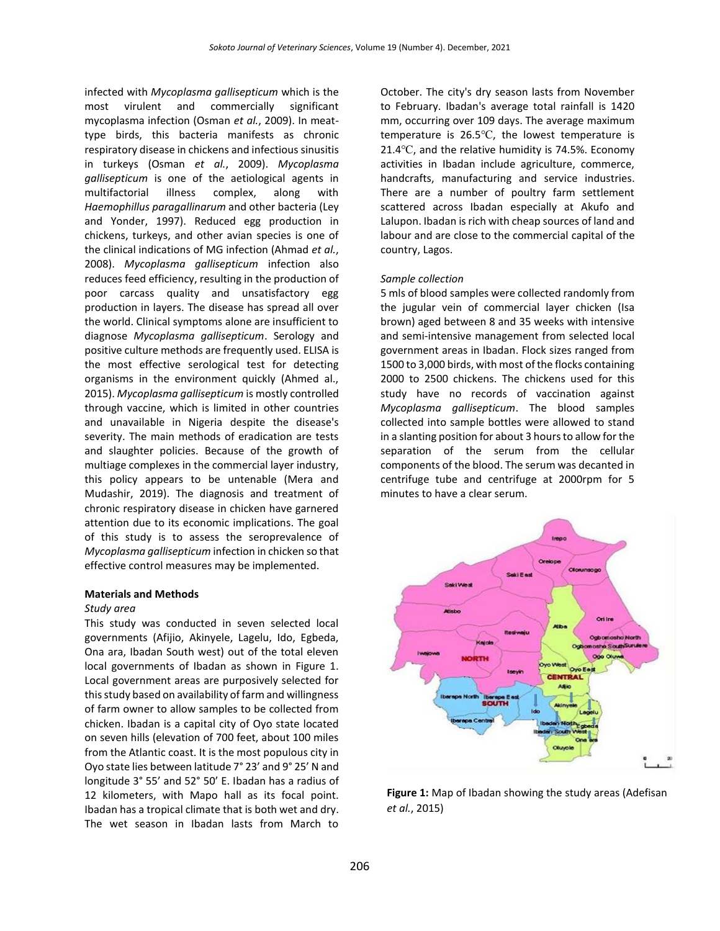infected with *Mycoplasma gallisepticum* which is the most virulent and commercially significant mycoplasma infection (Osman *et al.*, 2009). In meattype birds, this bacteria manifests as chronic respiratory disease in chickens and infectious sinusitis in turkeys (Osman *et al.*, 2009). *Mycoplasma gallisepticum* is one of the aetiological agents in multifactorial illness complex, along with *Haemophillus paragallinarum* and other bacteria (Ley and Yonder, 1997). Reduced egg production in chickens, turkeys, and other avian species is one of the clinical indications of MG infection (Ahmad *et al.*, 2008). *Mycoplasma gallisepticum* infection also reduces feed efficiency, resulting in the production of poor carcass quality and unsatisfactory egg production in layers. The disease has spread all over the world. Clinical symptoms alone are insufficient to diagnose *Mycoplasma gallisepticum*. Serology and positive culture methods are frequently used. ELISA is the most effective serological test for detecting organisms in the environment quickly (Ahmed al., 2015). *Mycoplasma gallisepticum* is mostly controlled through vaccine, which is limited in other countries and unavailable in Nigeria despite the disease's severity. The main methods of eradication are tests and slaughter policies. Because of the growth of multiage complexes in the commercial layer industry, this policy appears to be untenable (Mera and Mudashir, 2019). The diagnosis and treatment of chronic respiratory disease in chicken have garnered attention due to its economic implications. The goal of this study is to assess the seroprevalence of *Mycoplasma gallisepticum* infection in chicken so that effective control measures may be implemented.

#### **Materials and Methods**

# *Study area*

This study was conducted in seven selected local governments (Afijio, Akinyele, Lagelu, Ido, Egbeda, Ona ara, Ibadan South west) out of the total eleven local governments of Ibadan as shown in Figure 1. Local government areas are purposively selected for this study based on availability of farm and willingness of farm owner to allow samples to be collected from chicken. Ibadan is a capital city of Oyo state located on seven hills (elevation of 700 feet, about 100 miles from the Atlantic coast. It is the most populous city in Oyo state lies between latitude 7° 23' and 9° 25' N and longitude 3° 55' and 52° 50' E. Ibadan has a radius of 12 kilometers, with Mapo hall as its focal point. Ibadan has a tropical climate that is both wet and dry. The wet season in Ibadan lasts from March to

October. The city's dry season lasts from November to February. Ibadan's average total rainfall is 1420 mm, occurring over 109 days. The average maximum temperature is 26.5℃, the lowest temperature is 21.4℃, and the relative humidity is 74.5%. Economy activities in Ibadan include agriculture, commerce, handcrafts, manufacturing and service industries. There are a number of poultry farm settlement scattered across Ibadan especially at Akufo and Lalupon. Ibadan is rich with cheap sources of land and labour and are close to the commercial capital of the country, Lagos.

#### *Sample collection*

5 mls of blood samples were collected randomly from the jugular vein of commercial layer chicken (Isa brown) aged between 8 and 35 weeks with intensive and semi-intensive management from selected local government areas in Ibadan. Flock sizes ranged from 1500 to 3,000 birds, with most of the flocks containing 2000 to 2500 chickens. The chickens used for this study have no records of vaccination against *Mycoplasma gallisepticum*. The blood samples collected into sample bottles were allowed to stand in a slanting position for about 3 hours to allow for the separation of the serum from the cellular components of the blood. The serum was decanted in centrifuge tube and centrifuge at 2000rpm for 5 minutes to have a clear serum.



**Figure 1:** Map of Ibadan showing the study areas (Adefisan *et al.*, 2015)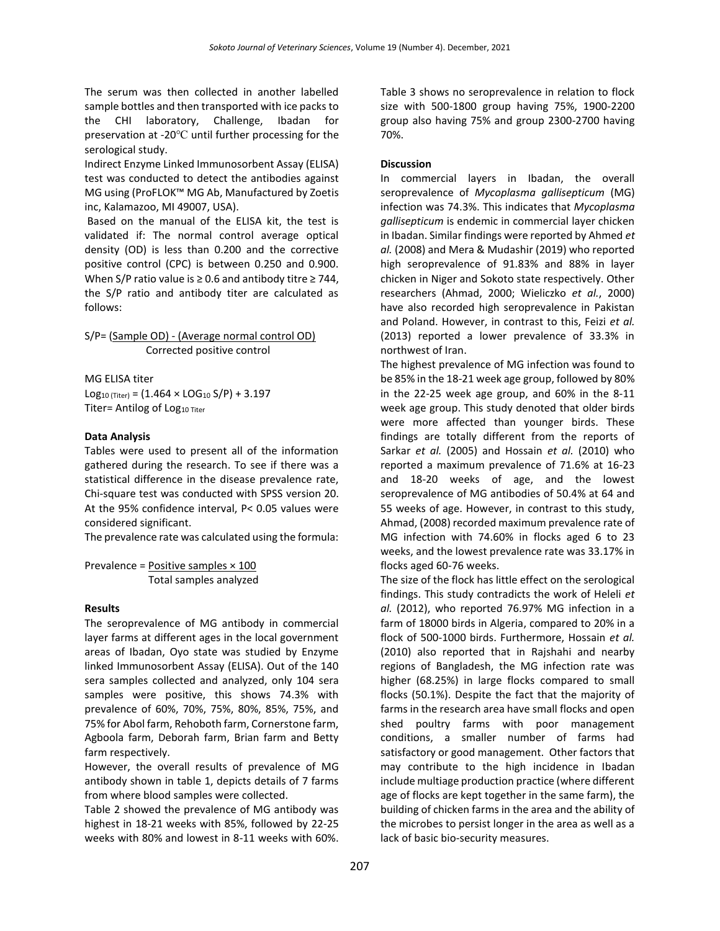The serum was then collected in another labelled sample bottles and then transported with ice packs to the CHI laboratory, Challenge, Ibadan for preservation at -20℃ until further processing for the serological study.

Indirect Enzyme Linked Immunosorbent Assay (ELISA) test was conducted to detect the antibodies against MG using (ProFLOK™ MG Ab, Manufactured by Zoetis inc, Kalamazoo, MI 49007, USA).

Based on the manual of the ELISA kit, the test is validated if: The normal control average optical density (OD) is less than 0.200 and the corrective positive control (CPC) is between 0.250 and 0.900. When S/P ratio value is  $\geq$  0.6 and antibody titre  $\geq$  744, the S/P ratio and antibody titer are calculated as follows:

S/P= (Sample OD) - (Average normal control OD) Corrected positive control

MG ELISA titer

 $Log_{10 (Titer)} = (1.464 \times LOG_{10} S/P) + 3.197$ Titer= Antilog of Log10 Titer

## **Data Analysis**

Tables were used to present all of the information gathered during the research. To see if there was a statistical difference in the disease prevalence rate, Chi-square test was conducted with SPSS version 20. At the 95% confidence interval, P< 0.05 values were considered significant.

The prevalence rate was calculated using the formula:

Prevalence =  $Positive$  samples  $\times$  100 Total samples analyzed

## **Results**

The seroprevalence of MG antibody in commercial layer farms at different ages in the local government areas of Ibadan, Oyo state was studied by Enzyme linked Immunosorbent Assay (ELISA). Out of the 140 sera samples collected and analyzed, only 104 sera samples were positive, this shows 74.3% with prevalence of 60%, 70%, 75%, 80%, 85%, 75%, and 75% for Abol farm, Rehoboth farm, Cornerstone farm, Agboola farm, Deborah farm, Brian farm and Betty farm respectively.

However, the overall results of prevalence of MG antibody shown in table 1, depicts details of 7 farms from where blood samples were collected.

Table 2 showed the prevalence of MG antibody was highest in 18-21 weeks with 85%, followed by 22-25 weeks with 80% and lowest in 8-11 weeks with 60%. Table 3 shows no seroprevalence in relation to flock size with 500-1800 group having 75%, 1900-2200 group also having 75% and group 2300-2700 having 70%.

## **Discussion**

In commercial layers in Ibadan, the overall seroprevalence of *Mycoplasma gallisepticum* (MG) infection was 74.3%. This indicates that *Mycoplasma gallisepticum* is endemic in commercial layer chicken in Ibadan. Similar findings were reported by Ahmed *et al.* (2008) and Mera & Mudashir (2019) who reported high seroprevalence of 91.83% and 88% in layer chicken in Niger and Sokoto state respectively. Other researchers (Ahmad, 2000; Wieliczko *et al.*, 2000) have also recorded high seroprevalence in Pakistan and Poland. However, in contrast to this, Feizi *et al.* (2013) reported a lower prevalence of 33.3% in northwest of Iran.

The highest prevalence of MG infection was found to be 85% in the 18-21 week age group, followed by 80% in the 22-25 week age group, and 60% in the 8-11 week age group. This study denoted that older birds were more affected than younger birds. These findings are totally different from the reports of Sarkar *et al.* (2005) and Hossain *et al.* (2010) who reported a maximum prevalence of 71.6% at 16-23 and 18-20 weeks of age, and the lowest seroprevalence of MG antibodies of 50.4% at 64 and 55 weeks of age. However, in contrast to this study, Ahmad, (2008) recorded maximum prevalence rate of MG infection with 74.60% in flocks aged 6 to 23 weeks, and the lowest prevalence rate was 33.17% in flocks aged 60-76 weeks.

The size of the flock has little effect on the serological findings. This study contradicts the work of Heleli *et al.* (2012), who reported 76.97% MG infection in a farm of 18000 birds in Algeria, compared to 20% in a flock of 500-1000 birds. Furthermore, Hossain *et al.* (2010) also reported that in Rajshahi and nearby regions of Bangladesh, the MG infection rate was higher (68.25%) in large flocks compared to small flocks (50.1%). Despite the fact that the majority of farms in the research area have small flocks and open shed poultry farms with poor management conditions, a smaller number of farms had satisfactory or good management. Other factors that may contribute to the high incidence in Ibadan include multiage production practice (where different age of flocks are kept together in the same farm), the building of chicken farms in the area and the ability of the microbes to persist longer in the area as well as a lack of basic bio-security measures.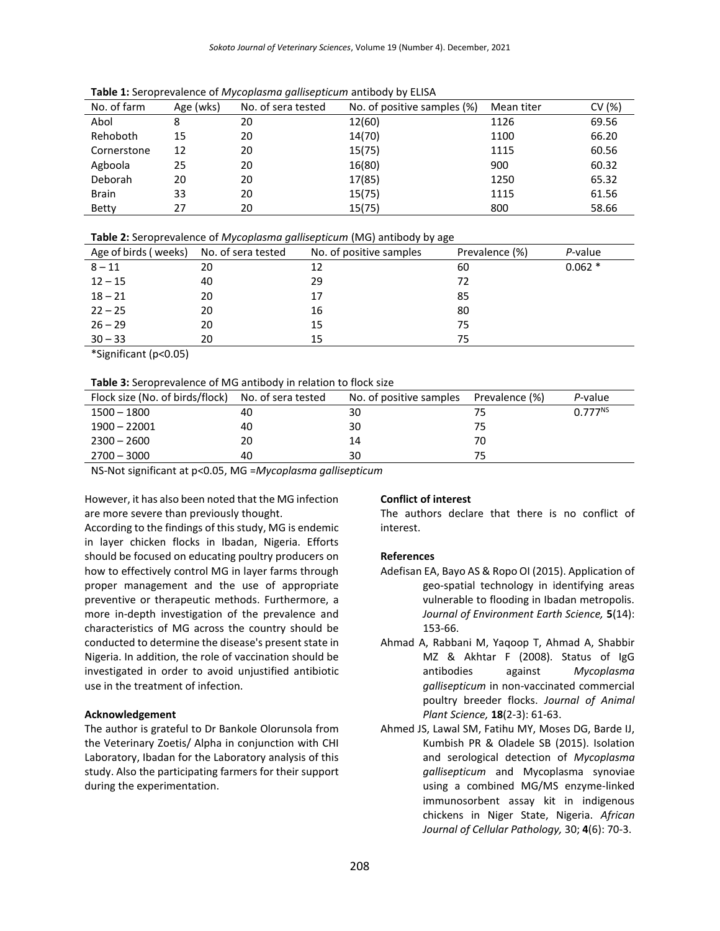| No. of farm  | Age (wks) | No. of sera tested | No. of positive samples (%) | Mean titer | CV(%) |
|--------------|-----------|--------------------|-----------------------------|------------|-------|
| Abol         | 8         | 20                 | 12(60)                      | 1126       | 69.56 |
| Rehoboth     | 15        | 20                 | 14(70)                      | 1100       | 66.20 |
| Cornerstone  | 12        | 20                 | 15(75)                      | 1115       | 60.56 |
| Agboola      | 25        | 20                 | 16(80)                      | 900        | 60.32 |
| Deborah      | 20        | 20                 | 17(85)                      | 1250       | 65.32 |
| <b>Brain</b> | 33        | 20                 | 15(75)                      | 1115       | 61.56 |
| Betty        | 27        | 20                 | 15(75)                      | 800        | 58.66 |

**Table 1:** Seroprevalence of *Mycoplasma gallisepticum* antibody by ELISA

| Age of birds (weeks) | No. of sera tested | No. of positive samples | Prevalence (%) | P-value  |
|----------------------|--------------------|-------------------------|----------------|----------|
| $8 - 11$             | 20                 | 12                      | 60             | $0.062*$ |
| $12 - 15$            | 40                 | 29                      | 72             |          |
| $18 - 21$            | 20                 | 17                      | 85             |          |
| $22 - 25$            | 20                 | 16                      | 80             |          |
| $26 - 29$            | 20                 | 15                      | 75             |          |
| $30 - 33$            | 20                 | 15                      | 75             |          |

\*Significant (p<0.05)

## **Table 3:** Seroprevalence of MG antibody in relation to flock size

| Flock size (No. of birds/flock) | No. of sera tested | No. of positive samples | Prevalence (%) | P-value      |  |  |
|---------------------------------|--------------------|-------------------------|----------------|--------------|--|--|
| $1500 - 1800$                   | 40                 | 30                      |                | $0.777^{NS}$ |  |  |
| $1900 - 22001$                  | 40                 | 30                      | 75             |              |  |  |
| $2300 - 2600$                   | 20                 | 14                      | 70             |              |  |  |
| $2700 - 3000$                   | 40                 | 30                      | 75             |              |  |  |

NS-Not significant at p<0.05, MG =*Mycoplasma gallisepticum*

However, it has also been noted that the MG infection are more severe than previously thought.

According to the findings of this study, MG is endemic in layer chicken flocks in Ibadan, Nigeria. Efforts should be focused on educating poultry producers on how to effectively control MG in layer farms through proper management and the use of appropriate preventive or therapeutic methods. Furthermore, a more in-depth investigation of the prevalence and characteristics of MG across the country should be conducted to determine the disease's present state in Nigeria. In addition, the role of vaccination should be investigated in order to avoid unjustified antibiotic use in the treatment of infection.

## **Acknowledgement**

The author is grateful to Dr Bankole Olorunsola from the Veterinary Zoetis/ Alpha in conjunction with CHI Laboratory, Ibadan for the Laboratory analysis of this study. Also the participating farmers for their support during the experimentation.

#### **Conflict of interest**

The authors declare that there is no conflict of interest.

## **References**

- Adefisan EA, Bayo AS & Ropo OI (2015). Application of geo-spatial technology in identifying areas vulnerable to flooding in Ibadan metropolis. *Journal of Environment Earth Science,* **5**(14): 153-66.
- Ahmad A, Rabbani M, Yaqoop T, Ahmad A, Shabbir MZ & Akhtar F (2008). Status of IgG antibodies against *Mycoplasma gallisepticum* in non-vaccinated commercial poultry breeder flocks. *Journal of Animal Plant Science,* **18**(2-3): 61-63.
- Ahmed JS, Lawal SM, Fatihu MY, Moses DG, Barde IJ, Kumbish PR & Oladele SB (2015). Isolation and serological detection of *Mycoplasma gallisepticum* and Mycoplasma synoviae using a combined MG/MS enzyme-linked immunosorbent assay kit in indigenous chickens in Niger State, Nigeria. *African Journal of Cellular Pathology,* 30; **4**(6): 70-3.